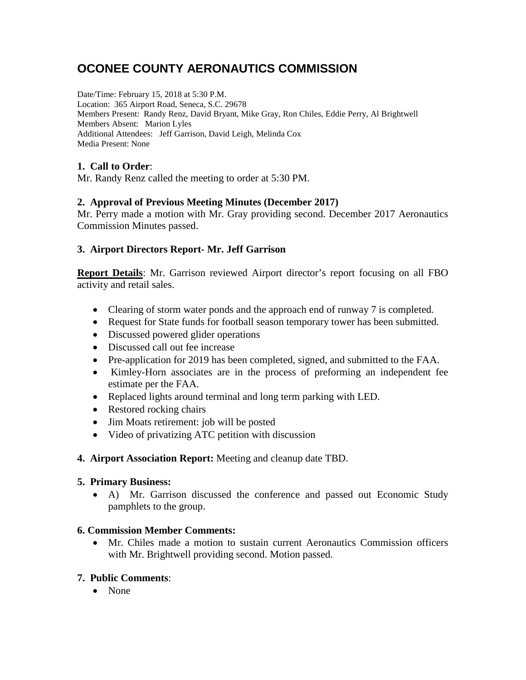# **OCONEE COUNTY AERONAUTICS COMMISSION**

Date/Time: February 15, 2018 at 5:30 P.M. Location: 365 Airport Road, Seneca, S.C. 29678 Members Present: Randy Renz, David Bryant, Mike Gray, Ron Chiles, Eddie Perry, Al Brightwell Members Absent: Marion Lyles Additional Attendees: Jeff Garrison, David Leigh, Melinda Cox Media Present: None

### **1. Call to Order**:

Mr. Randy Renz called the meeting to order at 5:30 PM.

#### **2. Approval of Previous Meeting Minutes (December 2017)**

Mr. Perry made a motion with Mr. Gray providing second. December 2017 Aeronautics Commission Minutes passed.

#### **3. Airport Directors Report- Mr. Jeff Garrison**

**Report Details**: Mr. Garrison reviewed Airport director's report focusing on all FBO activity and retail sales.

- Clearing of storm water ponds and the approach end of runway 7 is completed.
- Request for State funds for football season temporary tower has been submitted.
- Discussed powered glider operations
- Discussed call out fee increase
- Pre-application for 2019 has been completed, signed, and submitted to the FAA.
- Kimley-Horn associates are in the process of preforming an independent fee estimate per the FAA.
- Replaced lights around terminal and long term parking with LED.
- Restored rocking chairs
- Jim Moats retirement: job will be posted
- Video of privatizing ATC petition with discussion
- **4. Airport Association Report:** Meeting and cleanup date TBD.

#### **5. Primary Business:**

• A) Mr. Garrison discussed the conference and passed out Economic Study pamphlets to the group.

#### **6. Commission Member Comments:**

• Mr. Chiles made a motion to sustain current Aeronautics Commission officers with Mr. Brightwell providing second. Motion passed.

#### **7. Public Comments**:

• None